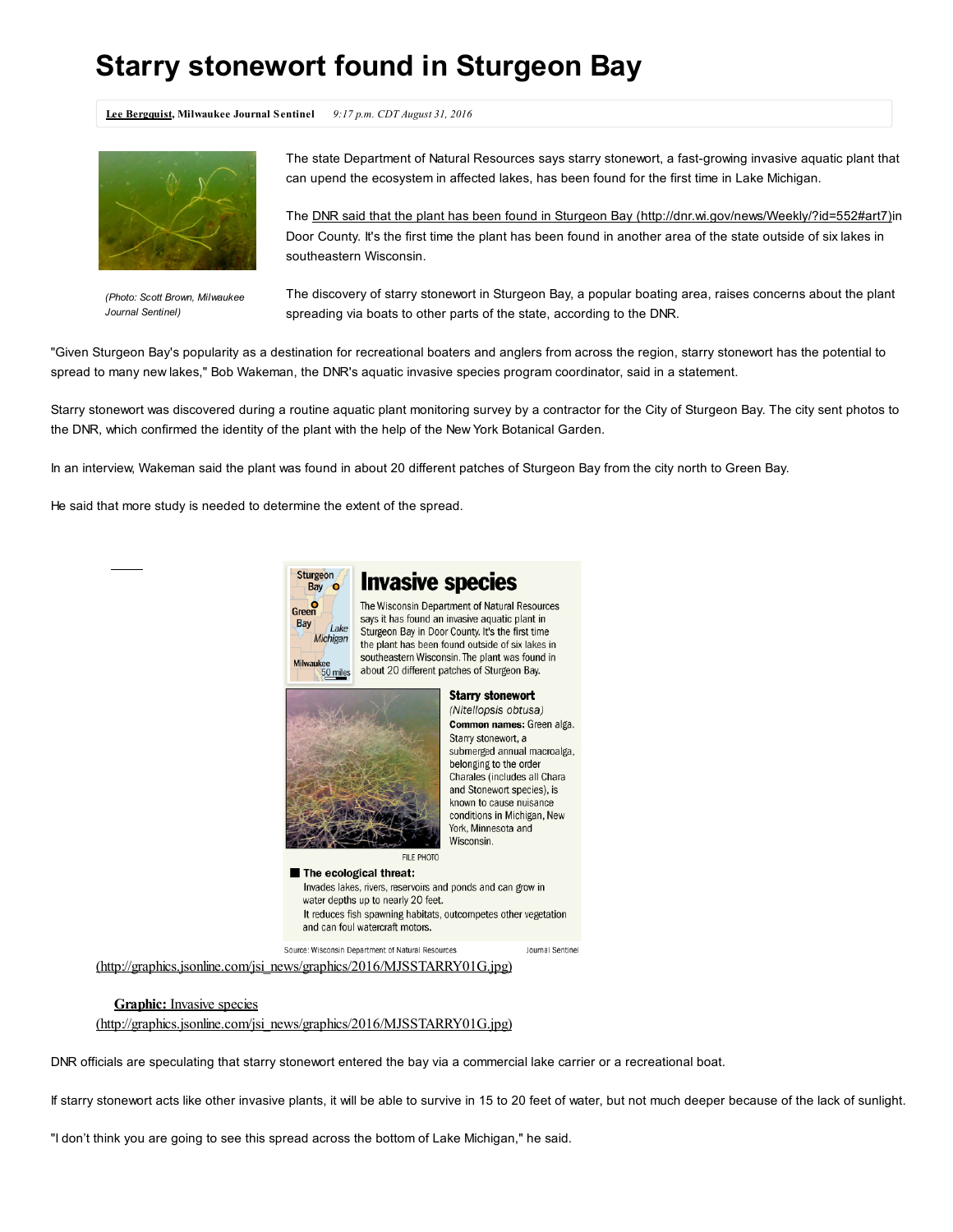## Starry stonewort found in Sturgeon Bay

Lee [Bergquist,](http://www.jsonline.com/staff/10051606/lee-bergquist/) Milwaukee Journal Sentinel 9:17 p.m. CDT August 31, 2016



*(Photo: Scott Brown, Milwaukee Journal Sentinel)*

The state Department of Natural Resources says starry stonewort, a fast-growing invasive aquatic plant that can upend the ecosystem in affected lakes, has been found for the first time in Lake Michigan.

The DNR said that the plant has been found in Sturgeon Bay [\(http://dnr.wi.gov/news/Weekly/?id=552#art7\)i](http://dnr.wi.gov/news/Weekly/?id=552#art7)n Door County. It's the first time the plant has been found in another area of the state outside of six lakes in southeastern Wisconsin.

The discovery of starry stonewort in Sturgeon Bay, a popular boating area, raises concerns about the plant spreading via boats to other parts of the state, according to the DNR.

"Given Sturgeon Bay's popularity as a destination for recreational boaters and anglers from across the region, starry stonewort has the potential to spread to many new lakes," Bob Wakeman, the DNR's aquatic invasive species program coordinator, said in a statement.

Starry stonewort was discovered during a routine aquatic plant monitoring survey by a contractor for the City of Sturgeon Bay. The city sent photos to the DNR, which confirmed the identity of the plant with the help of the New York Botanical Garden.

In an interview, Wakeman said the plant was found in about 20 different patches of Sturgeon Bay from the city north to Green Bay.

He said that more study is needed to determine the extent of the spread.

**Sturgeor** 

**Bay** Green

Bay

Milwauke



## **Invasive species**

The Wisconsin Department of Natural Resources says it has found an invasive aquatic plant in  $1<sub>ake</sub>$ Sturgeon Bay in Door County. It's the first time Michigan the plant has been found outside of six lakes in southeastern Wisconsin. The plant was found in about 20 different patches of Sturgeon Bay.



**Starry stonewort** (Nitellopsis obtusa) Common names: Green alga. Starry stonewort, a submerged annual macroalga, belonging to the order Charales (includes all Chara and Stonewort species), is known to cause nuisance conditions in Michigan, New York, Minnesota and Wisconsin.

The ecological threat: Invades lakes, rivers, reservoirs and ponds and can grow in water depths up to nearly 20 feet. It reduces fish spawning habitats, outcompetes other vegetation and can foul watercraft motors. Source: Wisconsin Department of Natural Resources Journal Sentinel

[\(http://graphics.jsonline.com/jsi\\_news/graphics/2016/MJSSTARRY01G.jpg\)](http://graphics.jsonline.com/jsi_news/graphics/2016/MJSSTARRY01G.jpg)

## Graphic: Invasive species

[\(http://graphics.jsonline.com/jsi\\_news/graphics/2016/MJSSTARRY01G.jpg\)](http://graphics.jsonline.com/jsi_news/graphics/2016/MJSSTARRY01G.jpg)

DNR officials are speculating that starry stonewort entered the bay via a commercial lake carrier or a recreational boat.

If starry stonewort acts like other invasive plants, it will be able to survive in 15 to 20 feet of water, but not much deeper because of the lack of sunlight.

"I don't think you are going to see this spread across the bottom of Lake Michigan," he said.